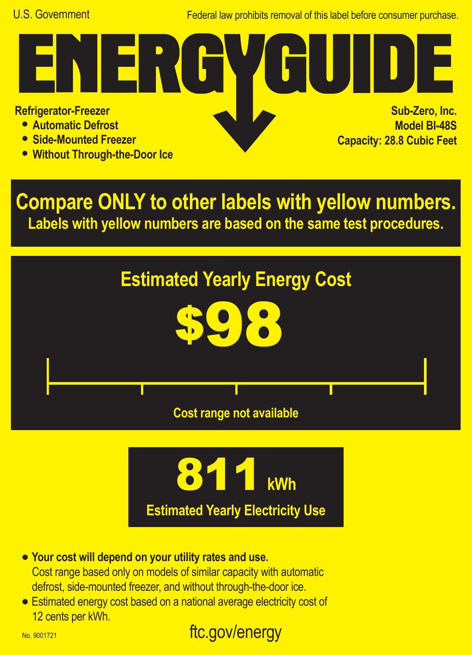Federal law prohibits removal of this label before consumer purchase.

**Refrigerator-Freezer**

- **• Automatic Defrost**
- **• Side-Mounted Freezer**
- **• Without Through-the-Door Ice**

FRI

**Sub-Zero, Inc. Model BI-48S Capacity: 28.8 Cubic Feet**

**Compare ONLY to other labels with yellow numbers. Labels with yellow numbers are based on the same test procedures.**





- **• Your cost will depend on your utility rates and use.** Cost range based only on models of similar capacity with automatic defrost, side-mounted freezer, and without through-the-door ice.
- **•** Estimated energy cost based on a national average electricity cost of 12 cents per kWh.